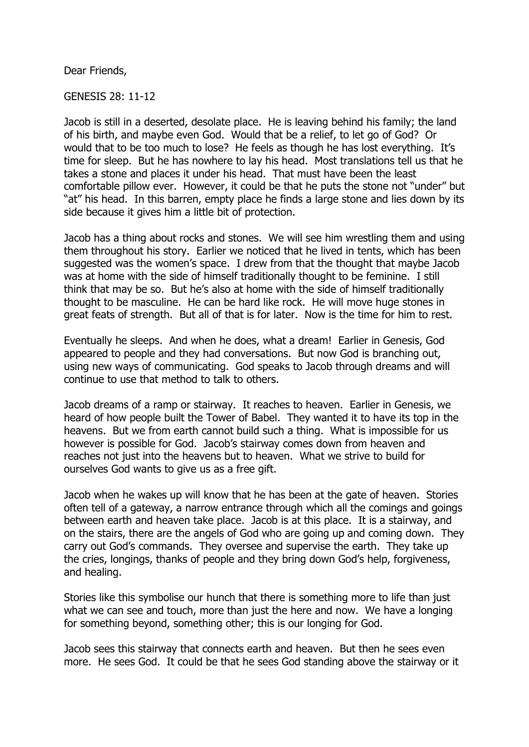Dear Friends,

GENESIS 28: 11-12

Jacob is still in a deserted, desolate place. He is leaving behind his family; the land of his birth, and maybe even God. Would that be a relief, to let go of God? Or would that to be too much to lose? He feels as though he has lost everything. It's time for sleep. But he has nowhere to lay his head. Most translations tell us that he takes a stone and places it under his head. That must have been the least comfortable pillow ever. However, it could be that he puts the stone not "under" but "at" his head. In this barren, empty place he finds a large stone and lies down by its side because it gives him a little bit of protection.

Jacob has a thing about rocks and stones. We will see him wrestling them and using them throughout his story. Earlier we noticed that he lived in tents, which has been suggested was the women's space. I drew from that the thought that maybe Jacob was at home with the side of himself traditionally thought to be feminine. I still think that may be so. But he's also at home with the side of himself traditionally thought to be masculine. He can be hard like rock. He will move huge stones in great feats of strength. But all of that is for later. Now is the time for him to rest.

Eventually he sleeps. And when he does, what a dream! Earlier in Genesis, God appeared to people and they had conversations. But now God is branching out, using new ways of communicating. God speaks to Jacob through dreams and will continue to use that method to talk to others.

Jacob dreams of a ramp or stairway. It reaches to heaven. Earlier in Genesis, we heard of how people built the Tower of Babel. They wanted it to have its top in the heavens. But we from earth cannot build such a thing. What is impossible for us however is possible for God. Jacob's stairway comes down from heaven and reaches not just into the heavens but to heaven. What we strive to build for ourselves God wants to give us as a free gift.

Jacob when he wakes up will know that he has been at the gate of heaven. Stories often tell of a gateway, a narrow entrance through which all the comings and goings between earth and heaven take place. Jacob is at this place. It is a stairway, and on the stairs, there are the angels of God who are going up and coming down. They carry out God's commands. They oversee and supervise the earth. They take up the cries, longings, thanks of people and they bring down God's help, forgiveness, and healing.

Stories like this symbolise our hunch that there is something more to life than just what we can see and touch, more than just the here and now. We have a longing for something beyond, something other; this is our longing for God.

Jacob sees this stairway that connects earth and heaven. But then he sees even more. He sees God. It could be that he sees God standing above the stairway or it